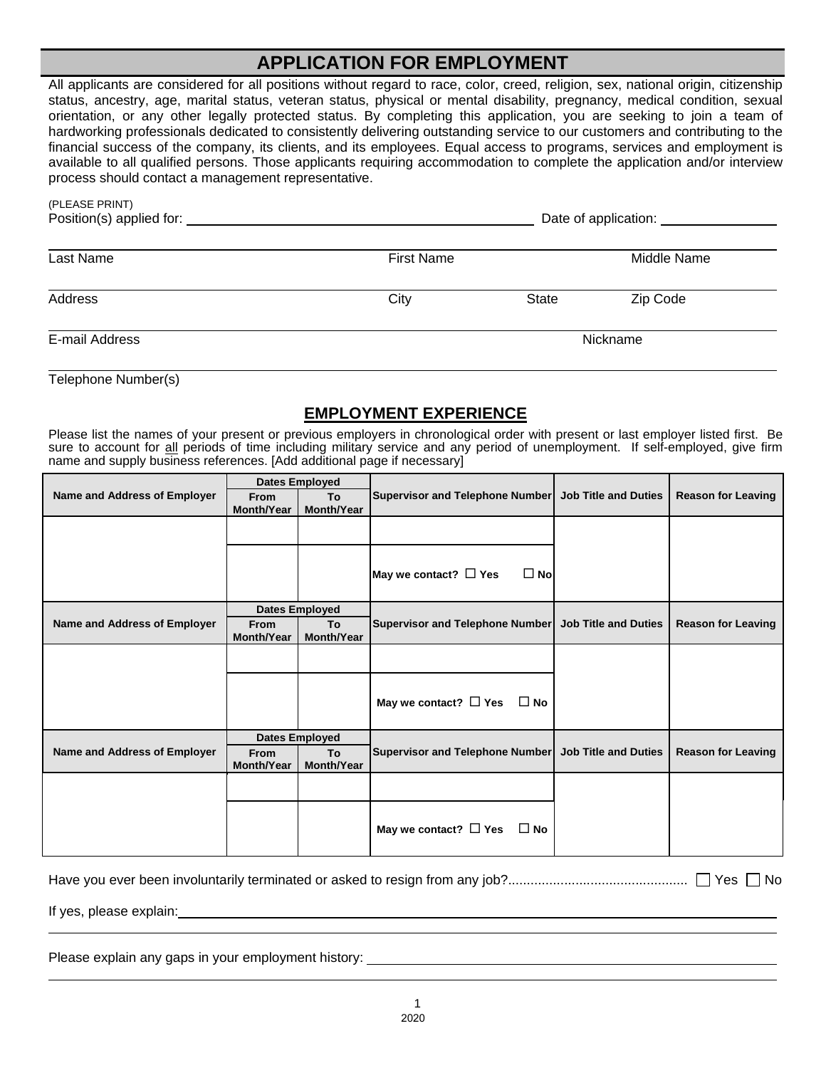# **APPLICATION FOR EMPLOYMENT**

All applicants are considered for all positions without regard to race, color, creed, religion, sex, national origin, citizenship status, ancestry, age, marital status, veteran status, physical or mental disability, pregnancy, medical condition, sexual orientation, or any other legally protected status. By completing this application, you are seeking to join a team of hardworking professionals dedicated to consistently delivering outstanding service to our customers and contributing to the financial success of the company, its clients, and its employees. Equal access to programs, services and employment is available to all qualified persons. Those applicants requiring accommodation to complete the application and/or interview process should contact a management representative.

| (PLEASE PRINT)<br>Position(s) applied for: |                   | Date of application: |             |  |  |
|--------------------------------------------|-------------------|----------------------|-------------|--|--|
| Last Name                                  | <b>First Name</b> |                      | Middle Name |  |  |
| Address                                    | City              | <b>State</b>         | Zip Code    |  |  |
| E-mail Address                             |                   |                      | Nickname    |  |  |

Telephone Number(s)

#### **EMPLOYMENT EXPERIENCE**

Please list the names of your present or previous employers in chronological order with present or last employer listed first. Be sure to account for all periods of time including military service and any period of unemployment. If self-employed, give firm name and supply business references. [Add additional page if necessary]

|                              |                                  | <b>Dates Employed</b>   |                                                      |                           |
|------------------------------|----------------------------------|-------------------------|------------------------------------------------------|---------------------------|
| Name and Address of Employer | <b>From</b><br><b>Month/Year</b> | To<br>Month/Year        | Supervisor and Telephone Number Job Title and Duties | <b>Reason for Leaving</b> |
|                              |                                  |                         |                                                      |                           |
|                              |                                  |                         |                                                      |                           |
|                              |                                  |                         |                                                      |                           |
|                              |                                  |                         | May we contact? $\Box$ Yes<br>$\square$ No           |                           |
|                              |                                  |                         |                                                      |                           |
|                              |                                  | <b>Dates Employed</b>   |                                                      |                           |
| Name and Address of Employer | From<br><b>Month/Year</b>        | To<br>Month/Year        | Supervisor and Telephone Number Job Title and Duties | <b>Reason for Leaving</b> |
|                              |                                  |                         |                                                      |                           |
|                              |                                  |                         |                                                      |                           |
|                              |                                  |                         |                                                      |                           |
|                              |                                  |                         | May we contact? $\Box$ Yes $\Box$ No                 |                           |
|                              |                                  |                         |                                                      |                           |
| <b>Dates Employed</b>        |                                  |                         |                                                      |                           |
| Name and Address of Employer | From<br><b>Month/Year</b>        | To<br><b>Month/Year</b> | Supervisor and Telephone Number Job Title and Duties | <b>Reason for Leaving</b> |
|                              |                                  |                         |                                                      |                           |
|                              |                                  |                         |                                                      |                           |
|                              |                                  |                         |                                                      |                           |
|                              |                                  |                         | May we contact? $\Box$ Yes<br>$\square$ No           |                           |
|                              |                                  |                         |                                                      |                           |

Have you ever been involuntarily terminated or asked to resign from any job?................................................ Yes No

If yes, please explain:

Please explain any gaps in your employment history: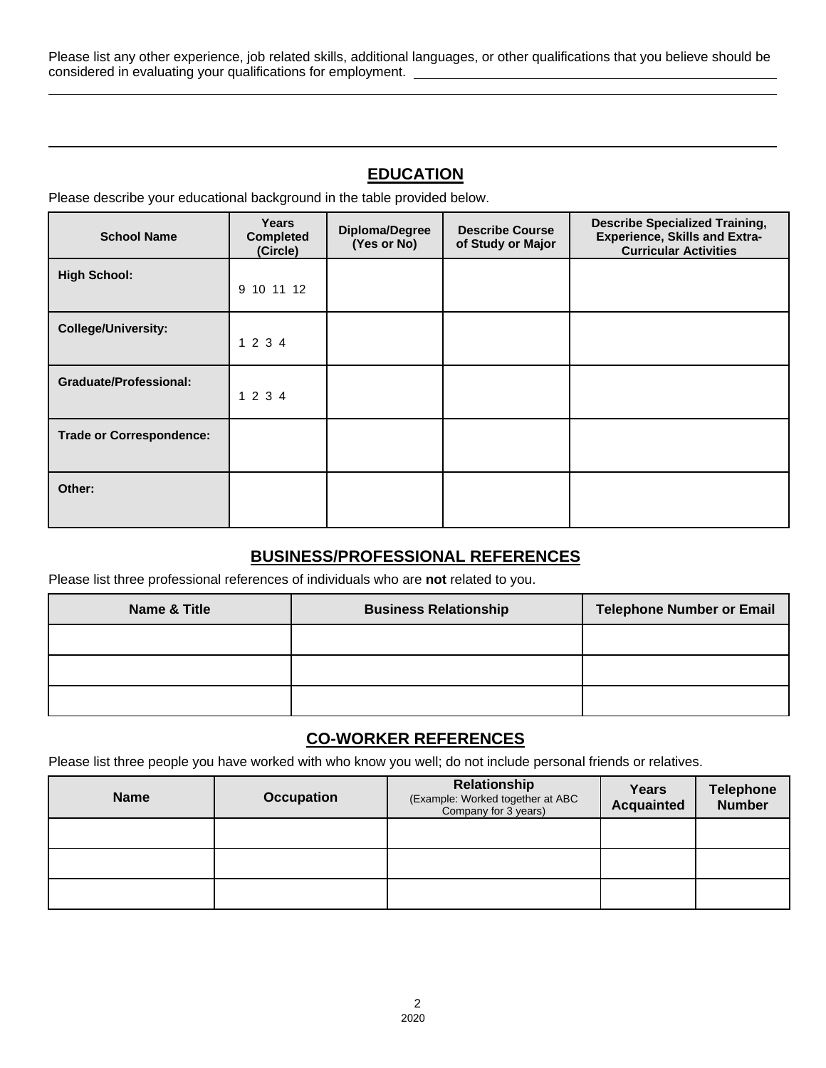Please list any other experience, job related skills, additional languages, or other qualifications that you believe should be considered in evaluating your qualifications for employment.

## **EDUCATION**

Please describe your educational background in the table provided below.

| <b>School Name</b>              | Years<br><b>Completed</b><br>(Circle) | Diploma/Degree<br>(Yes or No) | <b>Describe Course</b><br>of Study or Major | <b>Describe Specialized Training,</b><br><b>Experience, Skills and Extra-</b><br><b>Curricular Activities</b> |
|---------------------------------|---------------------------------------|-------------------------------|---------------------------------------------|---------------------------------------------------------------------------------------------------------------|
| <b>High School:</b>             | 9 10 11 12                            |                               |                                             |                                                                                                               |
| <b>College/University:</b>      | 1 2 3 4                               |                               |                                             |                                                                                                               |
| <b>Graduate/Professional:</b>   | 1 2 3 4                               |                               |                                             |                                                                                                               |
| <b>Trade or Correspondence:</b> |                                       |                               |                                             |                                                                                                               |
| Other:                          |                                       |                               |                                             |                                                                                                               |

#### **BUSINESS/PROFESSIONAL REFERENCES**

Please list three professional references of individuals who are **not** related to you.

| Name & Title | <b>Business Relationship</b> | <b>Telephone Number or Email</b> |
|--------------|------------------------------|----------------------------------|
|              |                              |                                  |
|              |                              |                                  |
|              |                              |                                  |

# **CO-WORKER REFERENCES**

Please list three people you have worked with who know you well; do not include personal friends or relatives.

| <b>Name</b> | <b>Occupation</b> | Relationship<br>(Example: Worked together at ABC<br>Company for 3 years) | Years<br><b>Acquainted</b> | <b>Telephone</b><br><b>Number</b> |
|-------------|-------------------|--------------------------------------------------------------------------|----------------------------|-----------------------------------|
|             |                   |                                                                          |                            |                                   |
|             |                   |                                                                          |                            |                                   |
|             |                   |                                                                          |                            |                                   |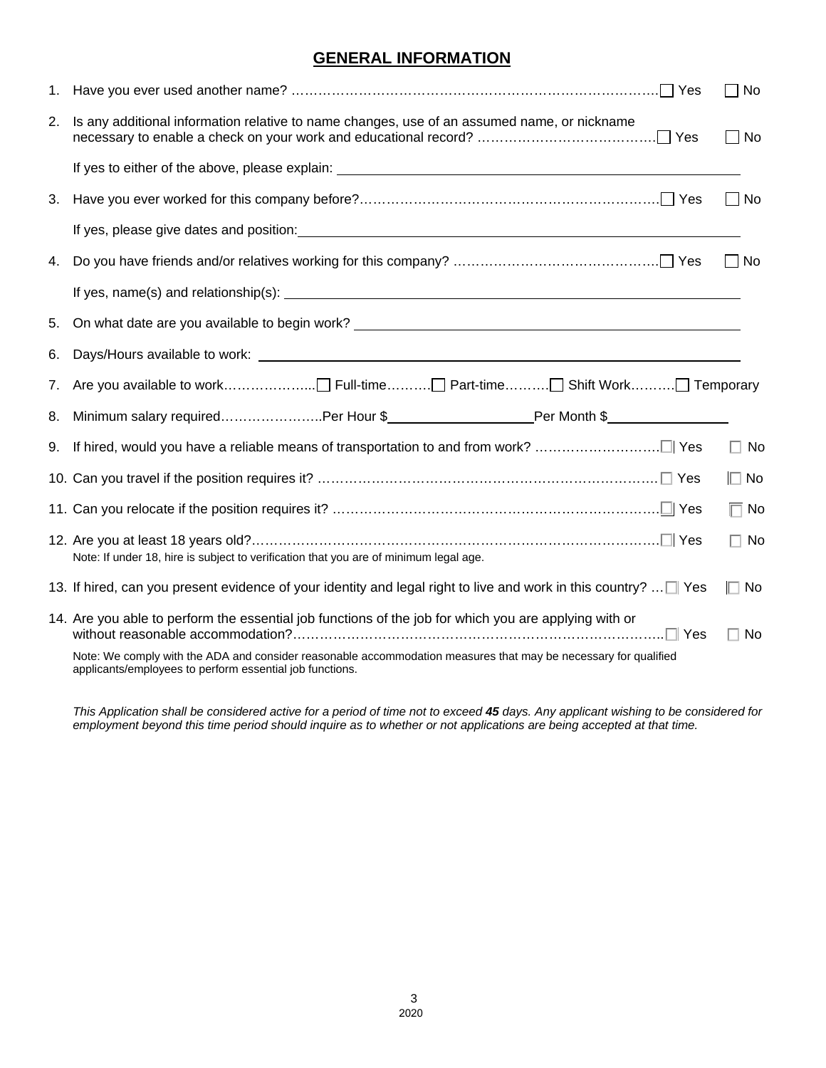### **GENERAL INFORMATION**

| 1. |                                                                                                                                                                             | ∩ No                 |
|----|-----------------------------------------------------------------------------------------------------------------------------------------------------------------------------|----------------------|
| 2. | Is any additional information relative to name changes, use of an assumed name, or nickname                                                                                 | No                   |
|    |                                                                                                                                                                             |                      |
| 3. |                                                                                                                                                                             | □ No                 |
|    |                                                                                                                                                                             |                      |
| 4. |                                                                                                                                                                             | $\Box$ No            |
|    |                                                                                                                                                                             |                      |
| 5. |                                                                                                                                                                             |                      |
| 6. |                                                                                                                                                                             |                      |
| 7. |                                                                                                                                                                             |                      |
| 8. | Minimum salary requiredPer Hour \$_______________________Per Month \$__________________                                                                                     |                      |
|    |                                                                                                                                                                             | $\Box$ No            |
|    |                                                                                                                                                                             | $\Box$ No            |
|    |                                                                                                                                                                             | $\overline{\Box}$ No |
|    | 12. Are you at least 18 years old?……………………………………………………………………………………□ Yes<br>Note: If under 18, hire is subject to verification that you are of minimum legal age.            | $\Box$ No            |
|    | 13. If hired, can you present evidence of your identity and legal right to live and work in this country? $\ldots$ Yes                                                      | $\Box$ No            |
|    | 14. Are you able to perform the essential job functions of the job for which you are applying with or                                                                       | $\Box$ No            |
|    | Note: We comply with the ADA and consider reasonable accommodation measures that may be necessary for qualified<br>applicants/employees to perform essential job functions. |                      |

*This Application shall be considered active for a period of time not to exceed 45 days. Any applicant wishing to be considered for employment beyond this time period should inquire as to whether or not applications are being accepted at that time.*